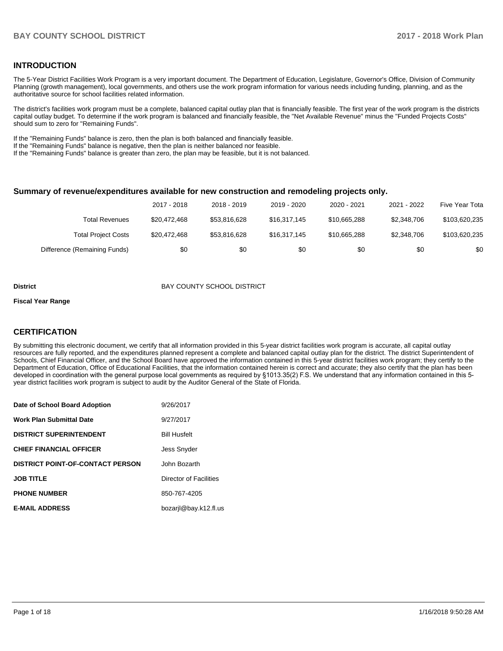### **INTRODUCTION**

The 5-Year District Facilities Work Program is a very important document. The Department of Education, Legislature, Governor's Office, Division of Community Planning (growth management), local governments, and others use the work program information for various needs including funding, planning, and as the authoritative source for school facilities related information.

The district's facilities work program must be a complete, balanced capital outlay plan that is financially feasible. The first year of the work program is the districts capital outlay budget. To determine if the work program is balanced and financially feasible, the "Net Available Revenue" minus the "Funded Projects Costs" should sum to zero for "Remaining Funds".

If the "Remaining Funds" balance is zero, then the plan is both balanced and financially feasible.

If the "Remaining Funds" balance is negative, then the plan is neither balanced nor feasible.

If the "Remaining Funds" balance is greater than zero, the plan may be feasible, but it is not balanced.

### **Summary of revenue/expenditures available for new construction and remodeling projects only.**

|                              | 2017 - 2018  | 2018 - 2019  | 2019 - 2020  | 2020 - 2021  | 2021 - 2022 | Five Year Tota |
|------------------------------|--------------|--------------|--------------|--------------|-------------|----------------|
| Total Revenues               | \$20,472,468 | \$53,816,628 | \$16,317,145 | \$10,665,288 | \$2,348,706 | \$103,620,235  |
| <b>Total Project Costs</b>   | \$20,472,468 | \$53,816,628 | \$16,317,145 | \$10,665,288 | \$2,348,706 | \$103,620,235  |
| Difference (Remaining Funds) | \$0          | \$0          | \$0          | \$0          | \$0         | \$0            |

#### **District District BAY COUNTY SCHOOL DISTRICT**

#### **Fiscal Year Range**

# **CERTIFICATION**

By submitting this electronic document, we certify that all information provided in this 5-year district facilities work program is accurate, all capital outlay resources are fully reported, and the expenditures planned represent a complete and balanced capital outlay plan for the district. The district Superintendent of Schools, Chief Financial Officer, and the School Board have approved the information contained in this 5-year district facilities work program; they certify to the Department of Education, Office of Educational Facilities, that the information contained herein is correct and accurate; they also certify that the plan has been developed in coordination with the general purpose local governments as required by §1013.35(2) F.S. We understand that any information contained in this 5year district facilities work program is subject to audit by the Auditor General of the State of Florida.

| Date of School Board Adoption           | 9/26/2017              |
|-----------------------------------------|------------------------|
| <b>Work Plan Submittal Date</b>         | 9/27/2017              |
| <b>DISTRICT SUPERINTENDENT</b>          | <b>Bill Husfelt</b>    |
| <b>CHIEF FINANCIAL OFFICER</b>          | <b>Jess Snyder</b>     |
| <b>DISTRICT POINT-OF-CONTACT PERSON</b> | John Bozarth           |
| <b>JOB TITLE</b>                        | Director of Facilities |
| <b>PHONE NUMBER</b>                     | 850-767-4205           |
| <b>E-MAIL ADDRESS</b>                   | bozaril@bay.k12.fl.us  |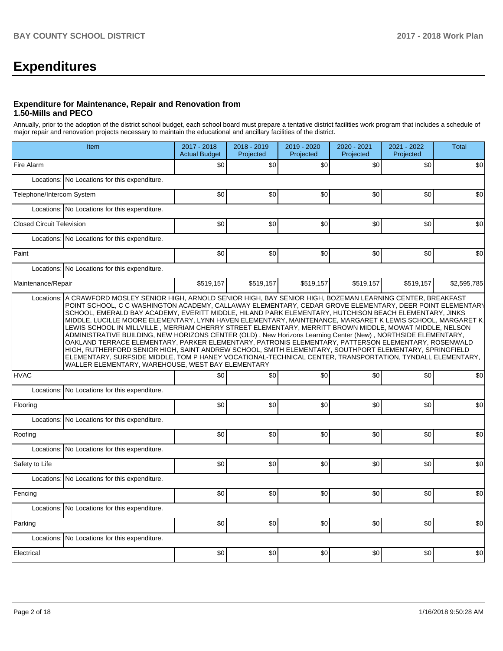# **Expenditures**

### **Expenditure for Maintenance, Repair and Renovation from 1.50-Mills and PECO**

Annually, prior to the adoption of the district school budget, each school board must prepare a tentative district facilities work program that includes a schedule of major repair and renovation projects necessary to maintain the educational and ancillary facilities of the district.

|                                                                                                                                                                                                                                                                                                                                                                                                                                                                                                                                                                                                                                                                                                                                                                                                                                                                                                                                                                                                                                                                       | Item                                          | 2017 - 2018<br><b>Actual Budget</b> | 2018 - 2019<br>Projected | 2019 - 2020<br>Projected | 2020 - 2021<br>Projected | 2021 - 2022<br>Projected | <b>Total</b> |  |  |  |  |  |
|-----------------------------------------------------------------------------------------------------------------------------------------------------------------------------------------------------------------------------------------------------------------------------------------------------------------------------------------------------------------------------------------------------------------------------------------------------------------------------------------------------------------------------------------------------------------------------------------------------------------------------------------------------------------------------------------------------------------------------------------------------------------------------------------------------------------------------------------------------------------------------------------------------------------------------------------------------------------------------------------------------------------------------------------------------------------------|-----------------------------------------------|-------------------------------------|--------------------------|--------------------------|--------------------------|--------------------------|--------------|--|--|--|--|--|
| Fire Alarm                                                                                                                                                                                                                                                                                                                                                                                                                                                                                                                                                                                                                                                                                                                                                                                                                                                                                                                                                                                                                                                            |                                               | \$0                                 | \$0                      | \$0                      | \$0                      | \$0                      | \$0          |  |  |  |  |  |
|                                                                                                                                                                                                                                                                                                                                                                                                                                                                                                                                                                                                                                                                                                                                                                                                                                                                                                                                                                                                                                                                       | Locations: No Locations for this expenditure. |                                     |                          |                          |                          |                          |              |  |  |  |  |  |
| Telephone/Intercom System                                                                                                                                                                                                                                                                                                                                                                                                                                                                                                                                                                                                                                                                                                                                                                                                                                                                                                                                                                                                                                             |                                               | \$0                                 | \$0                      | \$0                      | \$0                      | \$0                      | \$0          |  |  |  |  |  |
|                                                                                                                                                                                                                                                                                                                                                                                                                                                                                                                                                                                                                                                                                                                                                                                                                                                                                                                                                                                                                                                                       | Locations: No Locations for this expenditure. |                                     |                          |                          |                          |                          |              |  |  |  |  |  |
| <b>Closed Circuit Television</b>                                                                                                                                                                                                                                                                                                                                                                                                                                                                                                                                                                                                                                                                                                                                                                                                                                                                                                                                                                                                                                      |                                               | \$0                                 | \$0                      | \$0                      | \$0                      | \$0                      | \$0          |  |  |  |  |  |
|                                                                                                                                                                                                                                                                                                                                                                                                                                                                                                                                                                                                                                                                                                                                                                                                                                                                                                                                                                                                                                                                       | Locations: No Locations for this expenditure. |                                     |                          |                          |                          |                          |              |  |  |  |  |  |
| Paint                                                                                                                                                                                                                                                                                                                                                                                                                                                                                                                                                                                                                                                                                                                                                                                                                                                                                                                                                                                                                                                                 |                                               | \$0                                 | \$0                      | \$0                      | \$0                      | \$0                      | \$0          |  |  |  |  |  |
|                                                                                                                                                                                                                                                                                                                                                                                                                                                                                                                                                                                                                                                                                                                                                                                                                                                                                                                                                                                                                                                                       | Locations: No Locations for this expenditure. |                                     |                          |                          |                          |                          |              |  |  |  |  |  |
| Maintenance/Repair                                                                                                                                                                                                                                                                                                                                                                                                                                                                                                                                                                                                                                                                                                                                                                                                                                                                                                                                                                                                                                                    |                                               | \$519,157                           | \$519,157                | \$519,157                | \$519,157                | \$519,157                | \$2,595,785  |  |  |  |  |  |
| Locations: A CRAWFORD MOSLEY SENIOR HIGH, ARNOLD SENIOR HIGH, BAY SENIOR HIGH, BOZEMAN LEARNING CENTER, BREAKFAST<br>POINT SCHOOL, C C WASHINGTON ACADEMY, CALLAWAY ELEMENTARY, CEDAR GROVE ELEMENTARY, DEER POINT ELEMENTARY<br>SCHOOL, EMERALD BAY ACADEMY, EVERITT MIDDLE, HILAND PARK ELEMENTARY, HUTCHISON BEACH ELEMENTARY, JINKS<br>MIDDLE, LUCILLE MOORE ELEMENTARY, LYNN HAVEN ELEMENTARY, MAINTENANCE, MARGARET K LEWIS SCHOOL, MARGARET K.<br>LEWIS SCHOOL IN MILLVILLE , MERRIAM CHERRY STREET ELEMENTARY, MERRITT BROWN MIDDLE, MOWAT MIDDLE, NELSON<br>ADMINISTRATIVE BUILDING, NEW HORIZONS CENTER (OLD), New Horizons Learning Center (New), NORTHSIDE ELEMENTARY,<br>OAKLAND TERRACE ELEMENTARY, PARKER ELEMENTARY, PATRONIS ELEMENTARY, PATTERSON ELEMENTARY, ROSENWALD<br>HIGH, RUTHERFORD SENIOR HIGH, SAINT ANDREW SCHOOL, SMITH ELEMENTARY, SOUTHPORT ELEMENTARY, SPRINGFIELD<br>ELEMENTARY, SURFSIDE MIDDLE, TOM P HANEY VOCATIONAL-TECHNICAL CENTER, TRANSPORTATION, TYNDALL ELEMENTARY,<br>WALLER ELEMENTARY, WAREHOUSE, WEST BAY ELEMENTARY |                                               |                                     |                          |                          |                          |                          |              |  |  |  |  |  |
| <b>HVAC</b>                                                                                                                                                                                                                                                                                                                                                                                                                                                                                                                                                                                                                                                                                                                                                                                                                                                                                                                                                                                                                                                           |                                               | \$0                                 | \$0                      | \$0                      | \$0                      | \$0                      | \$0          |  |  |  |  |  |
|                                                                                                                                                                                                                                                                                                                                                                                                                                                                                                                                                                                                                                                                                                                                                                                                                                                                                                                                                                                                                                                                       | Locations: No Locations for this expenditure. |                                     |                          |                          |                          |                          |              |  |  |  |  |  |
| Flooring                                                                                                                                                                                                                                                                                                                                                                                                                                                                                                                                                                                                                                                                                                                                                                                                                                                                                                                                                                                                                                                              |                                               | \$0                                 | \$0                      | \$0                      | \$0                      | \$0                      | \$0          |  |  |  |  |  |
| Locations:                                                                                                                                                                                                                                                                                                                                                                                                                                                                                                                                                                                                                                                                                                                                                                                                                                                                                                                                                                                                                                                            | No Locations for this expenditure.            |                                     |                          |                          |                          |                          |              |  |  |  |  |  |
| Roofing                                                                                                                                                                                                                                                                                                                                                                                                                                                                                                                                                                                                                                                                                                                                                                                                                                                                                                                                                                                                                                                               |                                               | \$0                                 | \$0                      | \$0                      | \$0                      | \$0                      | \$0          |  |  |  |  |  |
|                                                                                                                                                                                                                                                                                                                                                                                                                                                                                                                                                                                                                                                                                                                                                                                                                                                                                                                                                                                                                                                                       | Locations: No Locations for this expenditure. |                                     |                          |                          |                          |                          |              |  |  |  |  |  |
| Safety to Life                                                                                                                                                                                                                                                                                                                                                                                                                                                                                                                                                                                                                                                                                                                                                                                                                                                                                                                                                                                                                                                        |                                               | \$0                                 | \$0                      | \$0                      | \$0                      | \$0                      | \$0          |  |  |  |  |  |
|                                                                                                                                                                                                                                                                                                                                                                                                                                                                                                                                                                                                                                                                                                                                                                                                                                                                                                                                                                                                                                                                       | Locations: No Locations for this expenditure. |                                     |                          |                          |                          |                          |              |  |  |  |  |  |
| Fencing                                                                                                                                                                                                                                                                                                                                                                                                                                                                                                                                                                                                                                                                                                                                                                                                                                                                                                                                                                                                                                                               |                                               | \$0                                 | \$0                      | \$0                      | \$0                      | \$0                      | \$0          |  |  |  |  |  |
|                                                                                                                                                                                                                                                                                                                                                                                                                                                                                                                                                                                                                                                                                                                                                                                                                                                                                                                                                                                                                                                                       | Locations: No Locations for this expenditure. |                                     |                          |                          |                          |                          |              |  |  |  |  |  |
| Parking                                                                                                                                                                                                                                                                                                                                                                                                                                                                                                                                                                                                                                                                                                                                                                                                                                                                                                                                                                                                                                                               |                                               | \$0                                 | \$0                      | \$0                      | \$0                      | \$0                      | \$0          |  |  |  |  |  |
| Locations:                                                                                                                                                                                                                                                                                                                                                                                                                                                                                                                                                                                                                                                                                                                                                                                                                                                                                                                                                                                                                                                            | No Locations for this expenditure.            |                                     |                          |                          |                          |                          |              |  |  |  |  |  |
| Electrical                                                                                                                                                                                                                                                                                                                                                                                                                                                                                                                                                                                                                                                                                                                                                                                                                                                                                                                                                                                                                                                            |                                               | \$0                                 | \$0                      | \$0                      | \$0                      | \$0                      | \$0          |  |  |  |  |  |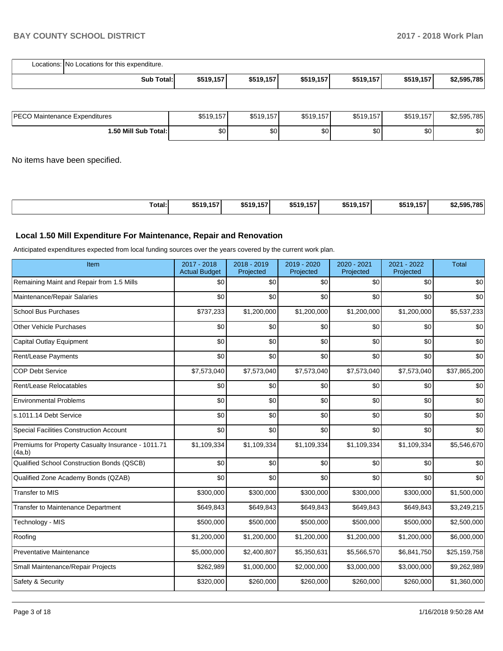| Locations: No Locations for this expenditure. |           |           |           |           |           |             |
|-----------------------------------------------|-----------|-----------|-----------|-----------|-----------|-------------|
| Sub Total:                                    | \$519,157 | \$519,157 | \$519,157 | \$519,157 | \$519,157 | \$2,595,785 |

| <b>IPECO Maintenance Expenditures</b> | \$519,157 | \$519,157 | \$519,157 | \$519,157        | \$519,157 | \$2,595,785 |
|---------------------------------------|-----------|-----------|-----------|------------------|-----------|-------------|
| 1.50 Mill Sub Total:İ                 | \$0       | \$0       | \$0       | \$0 <sub>1</sub> | ΦO<br>υU  | \$0         |

No items have been specified.

| \$519.157<br>Total:<br>\$519,157<br>\$519,157<br>\$519,157<br>\$519,157<br>. |  |  |  |             |
|------------------------------------------------------------------------------|--|--|--|-------------|
|                                                                              |  |  |  | \$2.595.785 |

# **Local 1.50 Mill Expenditure For Maintenance, Repair and Renovation**

Anticipated expenditures expected from local funding sources over the years covered by the current work plan.

| Item                                                         | 2017 - 2018<br><b>Actual Budget</b> | 2018 - 2019<br>Projected | 2019 - 2020<br>Projected | 2020 - 2021<br>Projected | 2021 - 2022<br>Projected | <b>Total</b> |
|--------------------------------------------------------------|-------------------------------------|--------------------------|--------------------------|--------------------------|--------------------------|--------------|
| Remaining Maint and Repair from 1.5 Mills                    | \$0                                 | \$0                      | \$0                      | \$0                      | \$0                      | \$0          |
| Maintenance/Repair Salaries                                  | \$0                                 | \$0                      | \$0                      | \$0                      | \$0                      | \$0          |
| <b>School Bus Purchases</b>                                  | \$737,233                           | \$1,200,000              | \$1,200,000              | \$1,200,000              | \$1,200,000              | \$5,537,233  |
| <b>Other Vehicle Purchases</b>                               | \$0                                 | \$0                      | \$0                      | \$0                      | \$0                      | \$0          |
| <b>Capital Outlay Equipment</b>                              | \$0                                 | \$0                      | \$0                      | \$0                      | \$0                      | \$0          |
| Rent/Lease Payments                                          | \$0                                 | \$0                      | \$0                      | \$0                      | \$0                      | \$0          |
| <b>COP Debt Service</b>                                      | \$7,573,040                         | \$7,573,040              | \$7,573,040              | \$7,573,040              | \$7,573,040              | \$37,865,200 |
| Rent/Lease Relocatables                                      | \$0                                 | \$0                      | \$0                      | \$0                      | \$0                      | \$0          |
| <b>Environmental Problems</b>                                | \$0                                 | \$0                      | \$0                      | \$0                      | \$0                      | \$0          |
| s.1011.14 Debt Service                                       | \$0                                 | \$0                      | \$0                      | \$0                      | \$0                      | \$0          |
| Special Facilities Construction Account                      | \$0                                 | \$0                      | \$0                      | \$0                      | \$0                      | \$0          |
| Premiums for Property Casualty Insurance - 1011.71<br>(4a,b) | \$1,109,334                         | \$1,109,334              | \$1,109,334              | \$1,109,334              | \$1,109,334              | \$5,546,670  |
| Qualified School Construction Bonds (QSCB)                   | \$0                                 | \$0                      | \$0                      | \$0                      | \$0                      | \$0          |
| Qualified Zone Academy Bonds (QZAB)                          | \$0                                 | \$0                      | \$0                      | \$0                      | \$0                      | \$0          |
| <b>Transfer to MIS</b>                                       | \$300,000                           | \$300,000                | \$300,000                | \$300,000                | \$300,000                | \$1,500,000  |
| <b>Transfer to Maintenance Department</b>                    | \$649,843                           | \$649,843                | \$649,843                | \$649,843                | \$649,843                | \$3,249,215  |
| Technology - MIS                                             | \$500,000                           | \$500,000                | \$500,000                | \$500,000                | \$500,000                | \$2,500,000  |
| Roofing                                                      | \$1,200,000                         | \$1,200,000              | \$1,200,000              | \$1,200,000              | \$1,200,000              | \$6,000,000  |
| Preventative Maintenance                                     | \$5,000,000                         | \$2,400,807              | \$5,350,631              | \$5,566,570              | \$6,841,750              | \$25,159,758 |
| Small Maintenance/Repair Projects                            | \$262,989                           | \$1,000,000              | \$2,000,000              | \$3,000,000              | \$3,000,000              | \$9,262,989  |
| Safety & Security                                            | \$320,000                           | \$260,000                | \$260,000                | \$260,000                | \$260,000                | \$1,360,000  |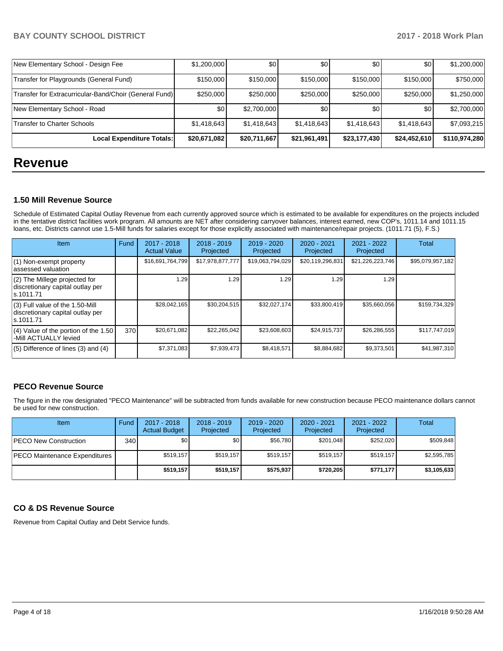| New Elementary School - Design Fee                     | \$1,200,000  | \$0          | \$0          | \$0          | \$0          | \$1,200,000   |
|--------------------------------------------------------|--------------|--------------|--------------|--------------|--------------|---------------|
| Transfer for Playgrounds (General Fund)                | \$150,000    | \$150,000    | \$150,000    | \$150,000    | \$150,000    | \$750,000     |
| Transfer for Extracurricular-Band/Choir (General Fund) | \$250,000    | \$250,000    | \$250,000    | \$250,000    | \$250,000    | \$1,250,000   |
| New Elementary School - Road                           | \$0          | \$2,700,000  | \$0          | \$0          | \$0          | \$2,700,000   |
| <b>Transfer to Charter Schools</b>                     | \$1,418,643  | \$1,418,643  | \$1,418,643  | \$1,418,643  | \$1,418,643  | \$7,093,215   |
| Local Expenditure Totals:                              | \$20,671,082 | \$20,711,667 | \$21,961,491 | \$23,177,430 | \$24,452,610 | \$110,974,280 |

# **Revenue**

## **1.50 Mill Revenue Source**

Schedule of Estimated Capital Outlay Revenue from each currently approved source which is estimated to be available for expenditures on the projects included in the tentative district facilities work program. All amounts are NET after considering carryover balances, interest earned, new COP's, 1011.14 and 1011.15 loans, etc. Districts cannot use 1.5-Mill funds for salaries except for those explicitly associated with maintenance/repair projects. (1011.71 (5), F.S.)

| Item                                                                                | Fund | $2017 - 2018$<br><b>Actual Value</b> | $2018 - 2019$<br>Projected | $2019 - 2020$<br>Projected | $2020 - 2021$<br>Projected | 2021 - 2022<br>Projected | Total            |
|-------------------------------------------------------------------------------------|------|--------------------------------------|----------------------------|----------------------------|----------------------------|--------------------------|------------------|
| (1) Non-exempt property<br>lassessed valuation                                      |      | \$16,691,764,799                     | \$17,978,877,777           | \$19,063,794,029           | \$20,119,296,831           | \$21,226,223,746         | \$95,079,957,182 |
| (2) The Millege projected for<br>discretionary capital outlay per<br>Is.1011.71     |      | 1.29                                 | 1.29                       | 1.29                       | 1.29                       | 1.29                     |                  |
| $(3)$ Full value of the 1.50-Mill<br>discretionary capital outlay per<br>ls.1011.71 |      | \$28.042.165                         | \$30,204,515               | \$32,027,174               | \$33,800,419               | \$35,660,056             | \$159,734,329    |
| $(4)$ Value of the portion of the 1.50<br>-Mill ACTUALLY levied                     | 370  | \$20,671,082                         | \$22,265,042               | \$23,608,603               | \$24,915,737               | \$26,286,555             | \$117,747,019    |
| $(5)$ Difference of lines $(3)$ and $(4)$                                           |      | \$7,371,083                          | \$7,939,473                | \$8,418,571                | \$8,884,682                | \$9,373,501              | \$41,987,310     |

# **PECO Revenue Source**

The figure in the row designated "PECO Maintenance" will be subtracted from funds available for new construction because PECO maintenance dollars cannot be used for new construction.

| Item                                 | Fund         | $2017 - 2018$<br><b>Actual Budget</b> | $2018 - 2019$<br>Projected | $2019 - 2020$<br>Projected | $2020 - 2021$<br>Projected | 2021 - 2022<br>Projected | Total       |
|--------------------------------------|--------------|---------------------------------------|----------------------------|----------------------------|----------------------------|--------------------------|-------------|
| <b>PECO New Construction</b>         | 340 <b>I</b> | \$0                                   | \$0 <sub>1</sub>           | \$56.780                   | \$201.048                  | \$252,020                | \$509,848   |
| <b>PECO Maintenance Expenditures</b> |              | \$519.157                             | \$519.157                  | \$519.157                  | \$519.157                  | \$519.157                | \$2,595,785 |
|                                      |              | \$519,157                             | \$519.157                  | \$575,937                  | \$720,205                  | \$771,177                | \$3,105,633 |

# **CO & DS Revenue Source**

Revenue from Capital Outlay and Debt Service funds.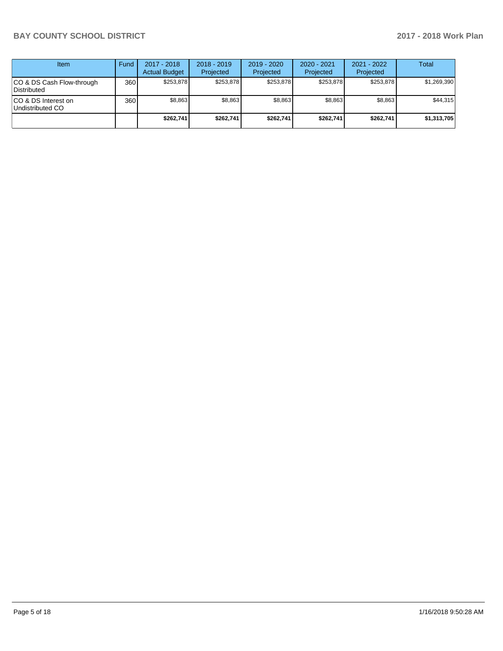| <b>Item</b>                               | Fund | $2017 - 2018$<br><b>Actual Budget</b> | $2018 - 2019$<br>Projected | $2019 - 2020$<br>Projected | $2020 - 2021$<br>Projected | 2021 - 2022<br>Projected | <b>Total</b> |
|-------------------------------------------|------|---------------------------------------|----------------------------|----------------------------|----------------------------|--------------------------|--------------|
| ICO & DS Cash Flow-through<br>Distributed | 360  | \$253.878                             | \$253,878                  | \$253.878                  | \$253.878                  | \$253.878                | \$1,269,390  |
| ICO & DS Interest on<br>Undistributed CO  | 360  | \$8.863                               | \$8,863                    | \$8,863                    | \$8.863                    | \$8.863                  | \$44,315     |
|                                           |      | \$262,741                             | \$262,741                  | \$262.741                  | \$262,741                  | \$262.741                | \$1,313,705  |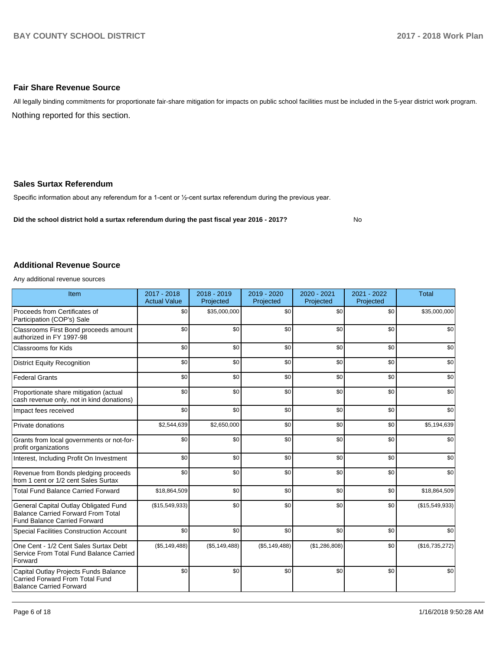### **Fair Share Revenue Source**

Nothing reported for this section. All legally binding commitments for proportionate fair-share mitigation for impacts on public school facilities must be included in the 5-year district work program.

### **Sales Surtax Referendum**

Specific information about any referendum for a 1-cent or 1/2-cent surtax referendum during the previous year.

**Did the school district hold a surtax referendum during the past fiscal year 2016 - 2017?**

No

### **Additional Revenue Source**

Any additional revenue sources

| Item                                                                                                                      | 2017 - 2018<br><b>Actual Value</b> | 2018 - 2019<br>Projected | 2019 - 2020<br>Projected | 2020 - 2021<br>Projected | 2021 - 2022<br>Projected | <b>Total</b>   |
|---------------------------------------------------------------------------------------------------------------------------|------------------------------------|--------------------------|--------------------------|--------------------------|--------------------------|----------------|
| Proceeds from Certificates of<br>Participation (COP's) Sale                                                               | \$0                                | \$35,000,000             | \$0                      | \$0                      | \$0                      | \$35,000,000   |
| Classrooms First Bond proceeds amount<br>authorized in FY 1997-98                                                         | \$0                                | \$0                      | \$0                      | \$0                      | \$0                      | \$0            |
| Classrooms for Kids                                                                                                       | \$0                                | \$0                      | \$0                      | \$0                      | \$0                      | \$0            |
| <b>District Equity Recognition</b>                                                                                        | \$0                                | \$0                      | \$0                      | \$0                      | \$0                      | \$0            |
| <b>Federal Grants</b>                                                                                                     | \$0                                | \$0                      | \$0                      | \$0                      | \$0                      | \$0            |
| Proportionate share mitigation (actual<br>cash revenue only, not in kind donations)                                       | \$0                                | \$0                      | \$0                      | \$0                      | \$0                      | \$0            |
| Impact fees received                                                                                                      | \$0                                | \$0                      | \$0                      | \$0                      | \$0                      | \$0            |
| Private donations                                                                                                         | \$2,544,639                        | \$2,650,000              | \$0                      | \$0                      | \$0                      | \$5,194,639    |
| Grants from local governments or not-for-<br>profit organizations                                                         | \$0                                | \$0                      | \$0                      | \$0                      | \$0                      | \$0            |
| Interest, Including Profit On Investment                                                                                  | \$0                                | \$0                      | \$0                      | \$0                      | \$0                      | \$0            |
| Revenue from Bonds pledging proceeds<br>from 1 cent or 1/2 cent Sales Surtax                                              | \$0                                | \$0                      | \$0                      | \$0                      | \$0                      | \$0            |
| <b>Total Fund Balance Carried Forward</b>                                                                                 | \$18,864,509                       | \$0                      | \$0                      | \$0                      | \$0                      | \$18,864,509   |
| General Capital Outlay Obligated Fund<br><b>Balance Carried Forward From Total</b><br><b>Fund Balance Carried Forward</b> | (\$15,549,933)                     | \$0                      | \$0                      | \$0                      | \$0                      | (\$15,549,933) |
| <b>Special Facilities Construction Account</b>                                                                            | \$0                                | \$0                      | \$0                      | \$0                      | \$0                      | \$0            |
| One Cent - 1/2 Cent Sales Surtax Debt<br>Service From Total Fund Balance Carried<br>Forward                               | (\$5,149,488)                      | (\$5,149,488)            | (\$5,149,488)            | (\$1,286,808)            | \$0                      | (\$16,735,272) |
| Capital Outlay Projects Funds Balance<br>Carried Forward From Total Fund<br><b>Balance Carried Forward</b>                | \$0                                | \$0                      | \$0                      | \$0                      | \$0                      | \$0            |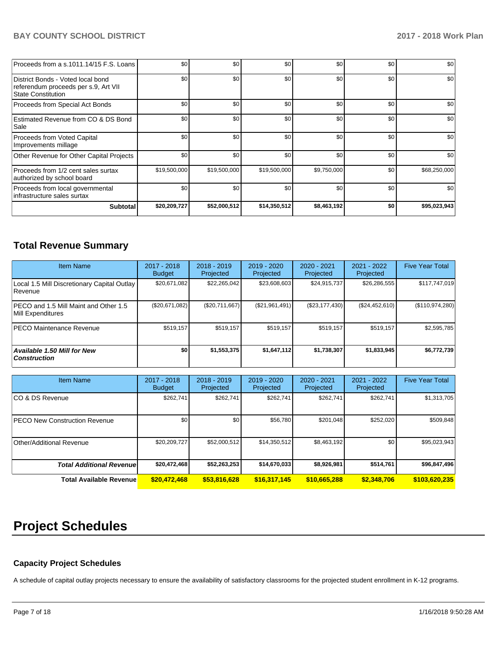| <b>Subtotal</b>                                                                                        | \$20,209,727 | \$52,000,512 | \$14,350,512 | \$8,463,192 | \$0 | \$95,023,943 |
|--------------------------------------------------------------------------------------------------------|--------------|--------------|--------------|-------------|-----|--------------|
| Proceeds from local governmental<br>Infrastructure sales surtax                                        | \$0          | \$0          | \$0          | \$0         | \$0 | \$0          |
| Proceeds from 1/2 cent sales surtax<br>authorized by school board                                      | \$19,500,000 | \$19,500,000 | \$19,500,000 | \$9,750,000 | \$0 | \$68,250,000 |
| Other Revenue for Other Capital Projects                                                               | \$0          | \$0          | \$0          | \$0         | \$0 | \$0          |
| Proceeds from Voted Capital<br>Improvements millage                                                    | \$0          | \$0          | \$0          | \$0         | \$0 | \$0          |
| Estimated Revenue from CO & DS Bond<br>Sale                                                            | \$0          | \$0          | \$0          | \$0         | \$0 | \$0          |
| Proceeds from Special Act Bonds                                                                        | \$0          | \$0          | \$0          | \$0         | \$0 | \$0          |
| District Bonds - Voted local bond<br>referendum proceeds per s.9, Art VII<br><b>State Constitution</b> | \$0          | \$0          | \$0          | \$0         | \$0 | \$0          |
| Proceeds from a s.1011.14/15 F.S. Loans                                                                | \$0          | \$0          | \$0          | \$0         | \$0 | \$0          |

# **Total Revenue Summary**

| <b>Item Name</b>                                              | 2017 - 2018<br>Budget | $2018 - 2019$<br>Projected | $2019 - 2020$<br>Projected | $2020 - 2021$<br>Projected | 2021 - 2022<br>Projected | <b>Five Year Total</b> |
|---------------------------------------------------------------|-----------------------|----------------------------|----------------------------|----------------------------|--------------------------|------------------------|
| Local 1.5 Mill Discretionary Capital Outlay<br><b>Revenue</b> | \$20.671.082          | \$22,265,042               | \$23,608,603               | \$24,915,737               | \$26,286,555             | \$117,747,019          |
| PECO and 1.5 Mill Maint and Other 1.5<br>Mill Expenditures    | (\$20,671,082)        | (S20.711.667)              | (\$21,961,491)             | (\$23,177,430)             | (S24, 452, 610)          | (S110, 974, 280)       |
| <b>IPECO Maintenance Revenue</b>                              | \$519,157             | \$519,157                  | \$519,157                  | \$519,157                  | \$519,157                | \$2,595,785            |
| Available 1.50 Mill for New<br>  Construction                 | \$0                   | \$1,553,375                | \$1,647,112                | \$1,738,307                | \$1,833,945              | \$6,772,739            |

| <b>Item Name</b>                     | $2017 - 2018$<br><b>Budget</b> | $2018 - 2019$<br>Projected | $2019 - 2020$<br>Projected | $2020 - 2021$<br>Projected | 2021 - 2022<br>Projected | <b>Five Year Total</b> |
|--------------------------------------|--------------------------------|----------------------------|----------------------------|----------------------------|--------------------------|------------------------|
| ICO & DS Revenue                     | \$262.741                      | \$262,741                  | \$262.741                  | \$262,741                  | \$262,741                | \$1,313,705            |
| <b>PECO New Construction Revenue</b> | \$0                            | \$0 <sub>1</sub>           | \$56,780                   | \$201,048                  | \$252,020                | \$509,848              |
| Other/Additional Revenue             | \$20,209,727                   | \$52,000,512               | \$14,350,512               | \$8,463,192                | \$0                      | \$95,023,943           |
| <b>Total Additional Revenuel</b>     | \$20,472,468                   | \$52,263,253               | \$14,670,033               | \$8,926,981                | \$514,761                | \$96,847,496           |
| <b>Total Available Revenue</b>       | \$20,472,468                   | \$53,816,628               | \$16,317,145               | \$10,665,288               | \$2,348,706              | \$103,620,235          |

# **Project Schedules**

# **Capacity Project Schedules**

A schedule of capital outlay projects necessary to ensure the availability of satisfactory classrooms for the projected student enrollment in K-12 programs.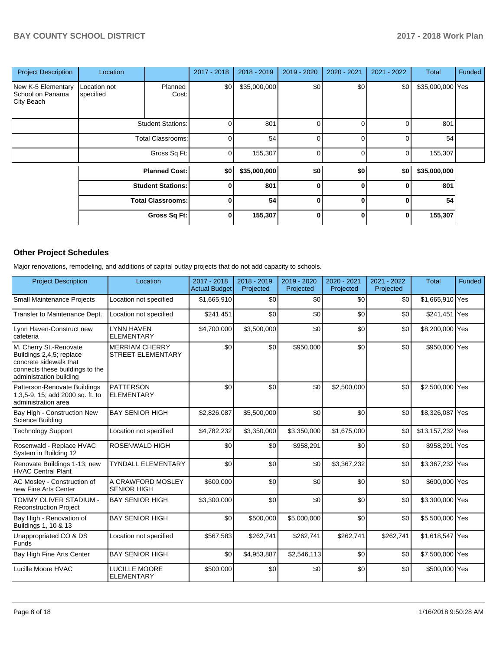| <b>Project Description</b>                           | Location                  |                          | 2017 - 2018 | $2018 - 2019$ | 2019 - 2020 | 2020 - 2021  | $2021 - 2022$ | <b>Total</b>     | Funded |
|------------------------------------------------------|---------------------------|--------------------------|-------------|---------------|-------------|--------------|---------------|------------------|--------|
| New K-5 Elementary<br>School on Panama<br>City Beach | Location not<br>specified | Planned<br>Cost:         | \$0         | \$35,000,000  | \$0         | \$0          | \$0           | \$35,000,000 Yes |        |
|                                                      |                           | <b>Student Stations:</b> |             | 801           | 0           |              |               | 801              |        |
|                                                      |                           | <b>Total Classrooms:</b> |             | 54            | 0           | 0            |               | 54               |        |
|                                                      |                           | Gross Sq Ft:             |             | 155,307       | 0           | 0            | 0             | 155,307          |        |
|                                                      |                           | <b>Planned Cost:</b>     | \$0         | \$35,000,000  | \$0         | \$0          | \$0           | \$35,000,000     |        |
|                                                      |                           | <b>Student Stations:</b> | 0           | 801           | $\bf{0}$    | 0            | 0             | 801              |        |
|                                                      |                           | <b>Total Classrooms:</b> | 0           | 54            | $\bf{0}$    | 0            | 0             | 54               |        |
|                                                      |                           | Gross Sq Ft:             | 0           | 155,307       | $\bf{0}$    | <sup>0</sup> | 0             | 155,307          |        |

# **Other Project Schedules**

Major renovations, remodeling, and additions of capital outlay projects that do not add capacity to schools.

| <b>Project Description</b>                                                                                                                 | Location                                          | 2017 - 2018<br><b>Actual Budget</b> | 2018 - 2019<br>Projected | 2019 - 2020<br>Projected | 2020 - 2021<br>Projected | 2021 - 2022<br>Projected | <b>Total</b>     | Funded |
|--------------------------------------------------------------------------------------------------------------------------------------------|---------------------------------------------------|-------------------------------------|--------------------------|--------------------------|--------------------------|--------------------------|------------------|--------|
| <b>Small Maintenance Projects</b>                                                                                                          | Location not specified                            | \$1,665,910                         | \$0                      | \$0                      | \$0                      | \$0                      | \$1,665,910 Yes  |        |
| Transfer to Maintenance Dept.                                                                                                              | Location not specified                            | \$241,451                           | \$0                      | \$0                      | \$0                      | \$0                      | \$241,451 Yes    |        |
| Lynn Haven-Construct new<br>cafeteria                                                                                                      | <b>LYNN HAVEN</b><br><b>ELEMENTARY</b>            | \$4,700,000                         | \$3,500,000              | \$0                      | \$0                      | \$0                      | \$8,200,000 Yes  |        |
| M. Cherry St.-Renovate<br>Buildings 2,4,5; replace<br>concrete sidewalk that<br>connects these buildings to the<br>administration building | <b>MERRIAM CHERRY</b><br><b>STREET ELEMENTARY</b> | \$0                                 | \$0                      | \$950,000                | \$0                      | \$0                      | \$950,000 Yes    |        |
| Patterson-Renovate Buildings<br>1,3,5-9, 15; add 2000 sq. ft. to<br>administration area                                                    | <b>PATTERSON</b><br><b>ELEMENTARY</b>             | \$0                                 | \$0                      | \$0                      | \$2,500,000              | \$0                      | \$2,500,000 Yes  |        |
| Bay High - Construction New<br>Science Building                                                                                            | <b>BAY SENIOR HIGH</b>                            | \$2,826,087                         | \$5,500,000              | \$0                      | \$0                      | \$0                      | \$8,326,087 Yes  |        |
| <b>Technology Support</b>                                                                                                                  | Location not specified                            | \$4,782,232                         | \$3,350,000              | \$3,350,000              | \$1,675,000              | \$0                      | \$13,157,232 Yes |        |
| Rosenwald - Replace HVAC<br>System in Building 12                                                                                          | <b>ROSENWALD HIGH</b>                             | \$0                                 | \$0                      | \$958,291                | \$0                      | \$0                      | \$958,291 Yes    |        |
| Renovate Buildings 1-13; new<br><b>HVAC Central Plant</b>                                                                                  | <b>TYNDALL ELEMENTARY</b>                         | \$0                                 | \$0                      | \$0                      | \$3,367,232              | \$0                      | \$3,367,232 Yes  |        |
| AC Mosley - Construction of<br>new Fine Arts Center                                                                                        | A CRAWFORD MOSLEY<br><b>SENIOR HIGH</b>           | \$600,000                           | \$0                      | \$0                      | \$0                      | \$0                      | \$600,000 Yes    |        |
| TOMMY OLIVER STADIUM -<br><b>Reconstruction Project</b>                                                                                    | <b>BAY SENIOR HIGH</b>                            | \$3,300,000                         | \$0                      | \$0                      | \$0                      | \$0                      | \$3,300,000 Yes  |        |
| Bay High - Renovation of<br>Buildings 1, 10 & 13                                                                                           | <b>BAY SENIOR HIGH</b>                            | \$0                                 | \$500,000                | \$5,000,000              | \$0                      | \$0                      | \$5,500,000 Yes  |        |
| Unappropriated CO & DS<br><b>Funds</b>                                                                                                     | Location not specified                            | \$567,583                           | \$262,741                | \$262,741                | \$262,741                | \$262,741                | \$1,618,547 Yes  |        |
| Bay High Fine Arts Center                                                                                                                  | <b>BAY SENIOR HIGH</b>                            | \$0                                 | \$4,953,887              | \$2,546,113              | \$0                      | \$0                      | \$7,500,000 Yes  |        |
| Lucille Moore HVAC                                                                                                                         | <b>LUCILLE MOORE</b><br><b>ELEMENTARY</b>         | \$500,000                           | \$0                      | \$0                      | \$0                      | \$0                      | \$500,000 Yes    |        |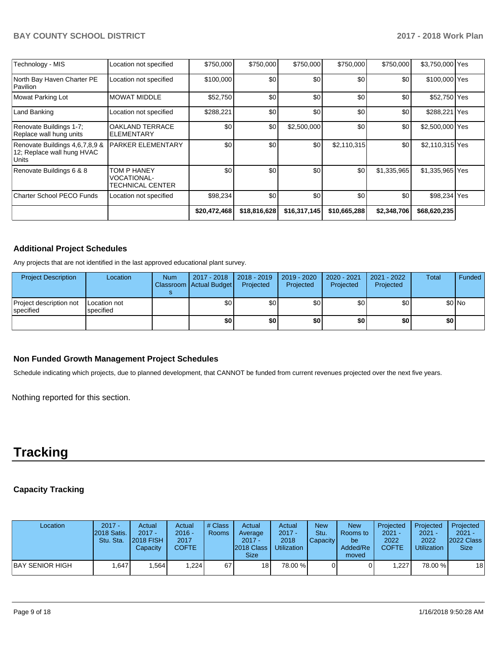| Technology - MIS                                                      | Location not specified                                | \$750,000    | \$750,000    | \$750,000    | \$750,000    | \$750,000        | \$3,750,000 Yes |  |
|-----------------------------------------------------------------------|-------------------------------------------------------|--------------|--------------|--------------|--------------|------------------|-----------------|--|
| North Bay Haven Charter PE<br>Pavilion                                | Location not specified                                | \$100,000    | \$0          | \$0          | \$0          | \$0              | \$100,000 Yes   |  |
| Mowat Parking Lot                                                     | <b>MOWAT MIDDLE</b>                                   | \$52,750     | \$0          | \$0          | \$0          | \$0              | \$52,750 Yes    |  |
| Land Banking                                                          | Location not specified                                | \$288,221    | \$0          | \$0          | \$0          | \$0 <sub>1</sub> | \$288,221 Yes   |  |
| Renovate Buildings 1-7;<br>Replace wall hung units                    | <b>OAKLAND TERRACE</b><br>ELEMENTARY                  | \$0          | \$0          | \$2,500,000  | \$0          | \$0              | \$2,500,000 Yes |  |
| Renovate Buildings 4,6,7,8,9 &<br>12; Replace wall hung HVAC<br>Units | PARKER ELEMENTARY                                     | \$0          | \$0          | \$0          | \$2,110,315  | \$0              | \$2,110,315 Yes |  |
| Renovate Buildings 6 & 8                                              | TOM P HANEY<br><b>VOCATIONAL-</b><br>TECHNICAL CENTER | \$0          | \$0          | \$0          | \$0          | \$1,335,965      | \$1,335,965 Yes |  |
| <b>Charter School PECO Funds</b>                                      | Location not specified                                | \$98,234     | \$0          | \$0          | \$0          | \$0              | \$98,234 Yes    |  |
|                                                                       |                                                       | \$20,472,468 | \$18,816,628 | \$16,317,145 | \$10,665,288 | \$2,348,706      | \$68,620,235    |  |

# **Additional Project Schedules**

Any projects that are not identified in the last approved educational plant survey.

| <b>Project Description</b>                  | Location                  | <b>Num</b> | 2017 - 2018<br>Classroom Actual Budget | $\vert$ 2018 - 2019<br>Projected | 2019 - 2020<br>Projected | 2020 - 2021<br>Projected | 2021 - 2022<br>Projected | Total | Funded  |
|---------------------------------------------|---------------------------|------------|----------------------------------------|----------------------------------|--------------------------|--------------------------|--------------------------|-------|---------|
| Project description not<br><b>Specified</b> | Location not<br>specified |            | \$0                                    | \$0 <sub>1</sub>                 | \$0                      | \$0                      | \$0                      |       | $$0$ No |
|                                             |                           |            | \$0                                    | \$0                              | \$0                      | \$0                      | \$0                      | \$0   |         |

## **Non Funded Growth Management Project Schedules**

Schedule indicating which projects, due to planned development, that CANNOT be funded from current revenues projected over the next five years.

Nothing reported for this section.

# **Tracking**

# **Capacity Tracking**

| Location         | $2017 -$<br>2018 Satis.<br>Stu. Sta. | Actual<br>$2017 -$<br><b>2018 FISH</b><br>Capacity | Actual<br>$2016 -$<br>2017<br><b>COFTE</b> | # Class<br><b>Rooms</b> | Actual<br>Average<br>$2017 -$<br><b>2018 Class</b><br><b>Size</b> | Actual<br>$2017 -$<br>2018<br><b>Utilization</b> | <b>New</b><br>Stu.<br><b>Capacity</b> | <b>New</b><br>Rooms to<br>be<br>Added/Re<br>moved | Projected<br>$2021 -$<br>2022<br><b>COFTE</b> | Projected<br>$2021 -$<br>2022<br><b>Utilization</b> | Projected<br>$2021 -$<br>2022 Class<br><b>Size</b> |
|------------------|--------------------------------------|----------------------------------------------------|--------------------------------------------|-------------------------|-------------------------------------------------------------------|--------------------------------------------------|---------------------------------------|---------------------------------------------------|-----------------------------------------------|-----------------------------------------------------|----------------------------------------------------|
| IBAY SENIOR HIGH | .647                                 | .564                                               | ,224                                       | 67                      | 18 <sup>1</sup>                                                   | 78.00 %                                          |                                       |                                                   | .227                                          | 78.00 %                                             | 18 <sup>l</sup>                                    |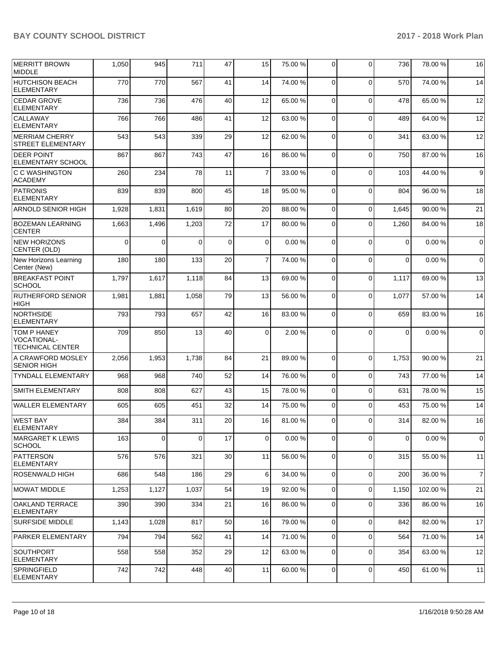| MERRITT BROWN<br>MIDDLE                               | 1,050    | 945      | 711      | 47 | 15             | 75.00 % | $\Omega$       | $\Omega$    | 736          | 78.00 %  | 16             |
|-------------------------------------------------------|----------|----------|----------|----|----------------|---------|----------------|-------------|--------------|----------|----------------|
| <b>HUTCHISON BEACH</b><br><b>ELEMENTARY</b>           | 770      | 770      | 567      | 41 | 14             | 74.00%  | $\mathbf 0$    | $\Omega$    | 570          | 74.00 %  | 14             |
| <b>CEDAR GROVE</b><br><b>ELEMENTARY</b>               | 736      | 736      | 476      | 40 | 12             | 65.00 % | 0              | $\mathbf 0$ | 478          | 65.00 %  | 12             |
| CALLAWAY<br><b>ELEMENTARY</b>                         | 766      | 766      | 486      | 41 | 12             | 63.00 % | $\Omega$       | $\mathbf 0$ | 489          | 64.00 %  | 12             |
| <b>MERRIAM CHERRY</b><br><b>STREET ELEMENTARY</b>     | 543      | 543      | 339      | 29 | 12             | 62.00%  | $\mathbf 0$    | $\Omega$    | 341          | 63.00 %  | 12             |
| <b>DEER POINT</b><br><b>ELEMENTARY SCHOOL</b>         | 867      | 867      | 743      | 47 | 16             | 86.00 % | 0              | $\mathbf 0$ | 750          | 87.00 %  | 16             |
| <b>C C WASHINGTON</b><br>ACADEMY                      | 260      | 234      | 78       | 11 | $\overline{7}$ | 33.00 % | $\Omega$       | $\mathbf 0$ | 103          | 44.00 %  | 9              |
| PATRONIS<br>ELEMENTARY                                | 839      | 839      | 800      | 45 | 18             | 95.00 % | $\mathbf 0$    | $\Omega$    | 804          | 96.00 %  | 18             |
| <b>ARNOLD SENIOR HIGH</b>                             | 1,928    | 1,831    | 1,619    | 80 | 20             | 88.00 % | $\mathbf 0$    | $\mathbf 0$ | 1,645        | 90.00 %  | 21             |
| <b>BOZEMAN LEARNING</b><br><b>CENTER</b>              | 1,663    | 1,496    | 1,203    | 72 | 17             | 80.00 % | 0              | $\mathbf 0$ | 1,260        | 84.00 %  | 18             |
| NEW HORIZONS<br>CENTER (OLD)                          | $\Omega$ | $\Omega$ | $\Omega$ | 0  | $\mathbf 0$    | 0.00%   | $\Omega$       | $\Omega$    | $\mathbf 0$  | 0.00%    | $\mathbf 0$    |
| New Horizons Learning<br>Center (New)                 | 180      | 180      | 133      | 20 | $\overline{7}$ | 74.00%  | $\mathbf 0$    | $\Omega$    | $\mathbf{0}$ | 0.00%    | $\mathbf 0$    |
| <b>BREAKFAST POINT</b><br><b>SCHOOL</b>               | 1,797    | 1,617    | 1,118    | 84 | 13             | 69.00%  | $\mathbf 0$    | $\mathbf 0$ | 1,117        | 69.00 %  | 13             |
| <b>RUTHERFORD SENIOR</b><br><b>HIGH</b>               | 1,981    | 1,881    | 1,058    | 79 | 13             | 56.00 % | $\Omega$       | $\mathbf 0$ | 1,077        | 57.00 %  | 14             |
| <b>NORTHSIDE</b><br><b>ELEMENTARY</b>                 | 793      | 793      | 657      | 42 | 16             | 83.00 % | $\mathbf 0$    | $\Omega$    | 659          | 83.00 %  | 16             |
| TOM P HANEY<br>VOCATIONAL-<br><b>TECHNICAL CENTER</b> | 709      | 850      | 13       | 40 | 0              | 2.00 %  | 0              | $\Omega$    | 0            | 0.00%    | $\mathbf 0$    |
| A CRAWFORD MOSLEY<br><b>SENIOR HIGH</b>               | 2,056    | 1,953    | 1,738    | 84 | 21             | 89.00 % | $\Omega$       | $\mathbf 0$ | 1,753        | 90.00 %  | 21             |
| <b>TYNDALL ELEMENTARY</b>                             | 968      | 968      | 740      | 52 | 14             | 76.00%  | 0              | $\Omega$    | 743          | 77.00 %  | 14             |
| <b>SMITH ELEMENTARY</b>                               | 808      | 808      | 627      | 43 | 15             | 78.00 % | 0              | $\Omega$    | 631          | 78.00 %  | 15             |
| <b>WALLER ELEMENTARY</b>                              | 605      | 605      | 451      | 32 | 14             | 75.00 % | 0              | $\Omega$    | 453          | 75.00 %  | 14             |
| <b>WEST BAY</b><br>ELEMENTARY                         | 384      | 384      | 311      | 20 | 16             | 81.00%  | 0              | $\Omega$    | 314          | 82.00 %  | 16             |
| <b>IMARGARET K LEWIS</b><br><b>SCHOOL</b>             | 163      | 0        | $\Omega$ | 17 | 0              | 0.00%   | 0              | $\mathbf 0$ | $\mathbf 0$  | 0.00%    | $\mathbf 0$    |
| PATTERSON<br><b>ELEMENTARY</b>                        | 576      | 576      | 321      | 30 | 11             | 56.00 % | $\mathbf 0$    | $\mathbf 0$ | 315          | 55.00 %  | 11             |
| ROSENWALD HIGH                                        | 686      | 548      | 186      | 29 | 6              | 34.00 % | 0              | $\mathbf 0$ | 200          | 36.00 %  | $\overline{7}$ |
| IMOWAT MIDDLE                                         | 1,253    | 1,127    | 1,037    | 54 | 19             | 92.00 % | 0              | $\Omega$    | 1,150        | 102.00 % | 21             |
| OAKLAND TERRACE<br><b>ELEMENTARY</b>                  | 390      | 390      | 334      | 21 | 16             | 86.00 % | 0              | 0           | 336          | 86.00 %  | 16             |
| <b>SURFSIDE MIDDLE</b>                                | 1,143    | 1,028    | 817      | 50 | 16             | 79.00 % | 0              | $\mathbf 0$ | 842          | 82.00 %  | 17             |
| PARKER ELEMENTARY                                     | 794      | 794      | 562      | 41 | 14             | 71.00 % | 0              | $\mathbf 0$ | 564          | 71.00 %  | 14             |
| <b>SOUTHPORT</b><br><b>ELEMENTARY</b>                 | 558      | 558      | 352      | 29 | 12             | 63.00 % | 0              | $\mathbf 0$ | 354          | 63.00 %  | 12             |
| SPRINGFIELD<br>ELEMENTARY                             | 742      | 742      | 448      | 40 | 11             | 60.00%  | $\overline{0}$ | $\mathbf 0$ | 450          | 61.00 %  | 11             |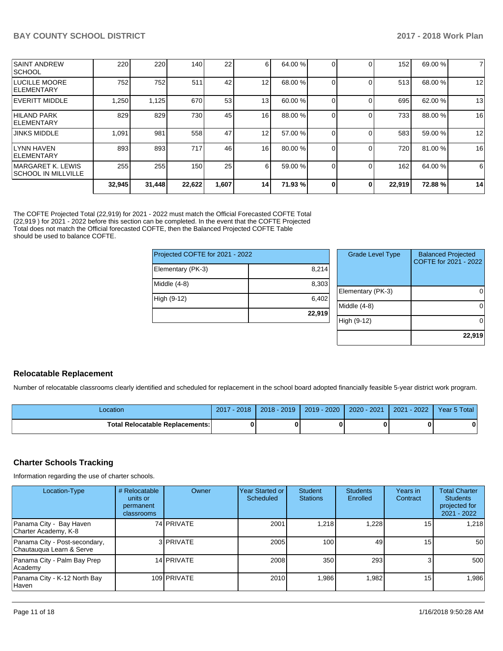|                                                   | 32,945 | 31,448 | 22,622 | 1,607 | 14              | 71.93 % | 0 | 0 | 22,919 | 72.88%  | 14 |
|---------------------------------------------------|--------|--------|--------|-------|-----------------|---------|---|---|--------|---------|----|
| <b>IMARGARET K. LEWIS</b><br>ISCHOOL IN MILLVILLE | 255    | 255    | 150    | 25    | 6               | 59.00 % |   |   | 162    | 64.00 % | 6  |
| llynn haven<br><b>IELEMENTARY</b>                 | 893    | 893    | 717    | 46    | 16              | 80.00 % |   |   | 720    | 81.00 % | 16 |
| <b>JINKS MIDDLE</b>                               | 1,091  | 981    | 558    | 47    | 12              | 57.00 % |   |   | 583    | 59.00 % | 12 |
| HILAND PARK<br><b>IELEMENTARY</b>                 | 829    | 829    | 730    | 45    | 16              | 88.00 % |   |   | 733    | 88.00 % | 16 |
| IEVERITT MIDDLE                                   | 1,250  | 1,125  | 670    | 53    | 13 <sub>1</sub> | 60.00 % |   |   | 695    | 62.00 % | 13 |
| LUCILLE MOORE<br><b>IELEMENTARY</b>               | 752    | 752    | 511    | 42    | 12              | 68.00 % |   |   | 513    | 68.00 % | 12 |
| <b>SAINT ANDREW</b><br> SCHOOL                    | 220    | 220    | 140    | 22    | 6               | 64.00%  |   |   | 152    | 69.00 % | 7  |
|                                                   |        |        |        |       |                 |         |   |   |        |         |    |

The COFTE Projected Total (22,919) for 2021 - 2022 must match the Official Forecasted COFTE Total (22,919 ) for 2021 - 2022 before this section can be completed. In the event that the COFTE Projected Total does not match the Official forecasted COFTE, then the Balanced Projected COFTE Table should be used to balance COFTE.

| Projected COFTE for 2021 - 2022 |        |
|---------------------------------|--------|
| Elementary (PK-3)               | 8,214  |
| Middle $(4-8)$                  | 8,303  |
| High (9-12)                     | 6,402  |
|                                 | 22,919 |

| <b>Grade Level Type</b> | <b>Balanced Projected</b><br>COFTE for 2021 - 2022 |
|-------------------------|----------------------------------------------------|
| Elementary (PK-3)       |                                                    |
| Middle $(4-8)$          |                                                    |
| High (9-12)             |                                                    |
|                         | 22,919                                             |

## **Relocatable Replacement**

Number of relocatable classrooms clearly identified and scheduled for replacement in the school board adopted financially feasible 5-year district work program.

| -ocation                               | $2017 - 2018$ | $2018 - 2019$ | $2019 - 2020$ | $2020 - 2021$ 2021 - 2022 | Year 5 Total |
|----------------------------------------|---------------|---------------|---------------|---------------------------|--------------|
| <b>Total Relocatable Replacements:</b> |               |               |               |                           |              |

### **Charter Schools Tracking**

Information regarding the use of charter schools.

| Location-Type                                             | # Relocatable<br>units or<br>permanent<br>classrooms | Owner       | Year Started or<br>Scheduled | <b>Student</b><br><b>Stations</b> | <b>Students</b><br>Enrolled | Years in<br>Contract | <b>Total Charter</b><br><b>Students</b><br>projected for<br>$2021 - 2022$ |
|-----------------------------------------------------------|------------------------------------------------------|-------------|------------------------------|-----------------------------------|-----------------------------|----------------------|---------------------------------------------------------------------------|
| Panama City - Bay Haven<br>Charter Academy, K-8           |                                                      | 74 PRIVATE  | 2001                         | 218. ا                            | .228                        | 15                   | 1.218                                                                     |
| Panama City - Post-secondary,<br>Chautauqua Learn & Serve |                                                      | 3 PRIVATE   | 2005                         | 100 <sub>1</sub>                  | 49                          | 15                   | 50                                                                        |
| Panama City - Palm Bay Prep<br>Academy                    |                                                      | 14 PRIVATE  | 2008                         | 350                               | 293                         |                      | 500                                                                       |
| Panama City - K-12 North Bay<br><b>Haven</b>              |                                                      | 109 PRIVATE | 2010                         | 86,1                              | .982                        | 15                   | 1,986                                                                     |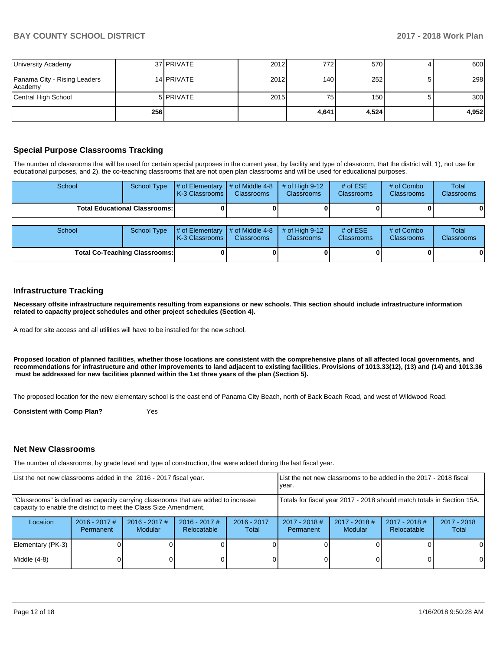| <b>University Academy</b>               |     | 37 PRIVATE       | 2012 | 772 I | 570   | 600   |
|-----------------------------------------|-----|------------------|------|-------|-------|-------|
| Panama City - Rising Leaders<br>Academy |     | 14 PRIVATE       | 2012 | 1401  | 252   | 298   |
| Central High School                     |     | 5 <b>PRIVATE</b> | 2015 | 75    | 150   | 300   |
|                                         | 256 |                  |      | 4,641 | 4,524 | 4,952 |

### **Special Purpose Classrooms Tracking**

The number of classrooms that will be used for certain special purposes in the current year, by facility and type of classroom, that the district will, 1), not use for educational purposes, and 2), the co-teaching classrooms that are not open plan classrooms and will be used for educational purposes.

| School                               | <b>School Type</b> | # of Elementary<br>K-3 Classrooms | # of Middle 4-8<br><b>Classrooms</b> | # of High $9-12$<br><b>Classrooms</b> | # of $ESE$<br><b>Classrooms</b> | # of Combo<br><b>Classrooms</b> | Total<br><b>Classrooms</b> |
|--------------------------------------|--------------------|-----------------------------------|--------------------------------------|---------------------------------------|---------------------------------|---------------------------------|----------------------------|
| <b>Total Educational Classrooms:</b> |                    |                                   |                                      |                                       |                                 |                                 | 01                         |
| School                               | <b>School Type</b> | # of Elementary<br>K-3 Classrooms | # of Middle 4-8<br><b>Classrooms</b> | # of High $9-12$<br><b>Classrooms</b> | # of $ESE$<br><b>Classrooms</b> | # of Combo<br><b>Classrooms</b> | Total<br>Classrooms        |
| <b>Total Co-Teaching Classrooms:</b> |                    |                                   |                                      |                                       |                                 |                                 | 0                          |

### **Infrastructure Tracking**

**Necessary offsite infrastructure requirements resulting from expansions or new schools. This section should include infrastructure information related to capacity project schedules and other project schedules (Section 4).** 

A road for site access and all utilities will have to be installed for the new school.

**Proposed location of planned facilities, whether those locations are consistent with the comprehensive plans of all affected local governments, and recommendations for infrastructure and other improvements to land adjacent to existing facilities. Provisions of 1013.33(12), (13) and (14) and 1013.36** must be addressed for new facilities planned within the 1st three years of the plan (Section 5).

The proposed location for the new elementary school is the east end of Panama City Beach, north of Back Beach Road, and west of Wildwood Road.

**Consistent with Comp Plan?** Yes

### **Net New Classrooms**

The number of classrooms, by grade level and type of construction, that were added during the last fiscal year.

| List the net new classrooms added in the 2016 - 2017 fiscal year.                                                                                       | List the net new classrooms to be added in the 2017 - 2018 fiscal<br>year. |                                   |                                       |                        |                                                                        |                                   |                                |                        |
|---------------------------------------------------------------------------------------------------------------------------------------------------------|----------------------------------------------------------------------------|-----------------------------------|---------------------------------------|------------------------|------------------------------------------------------------------------|-----------------------------------|--------------------------------|------------------------|
| "Classrooms" is defined as capacity carrying classrooms that are added to increase<br>capacity to enable the district to meet the Class Size Amendment. |                                                                            |                                   |                                       |                        | Totals for fiscal year 2017 - 2018 should match totals in Section 15A. |                                   |                                |                        |
| Location                                                                                                                                                | $2016 - 2017$ #<br>Permanent                                               | $2016 - 2017$ #<br><b>Modular</b> | $2016 - 2017$ #<br><b>Relocatable</b> | $2016 - 2017$<br>Total | $2017 - 2018$ #<br>Permanent                                           | $2017 - 2018$ #<br><b>Modular</b> | $2017 - 2018$ #<br>Relocatable | $2017 - 2018$<br>Total |
| Elementary (PK-3)                                                                                                                                       |                                                                            |                                   |                                       |                        |                                                                        |                                   |                                |                        |
| Middle (4-8)                                                                                                                                            |                                                                            |                                   |                                       |                        |                                                                        |                                   |                                | 0                      |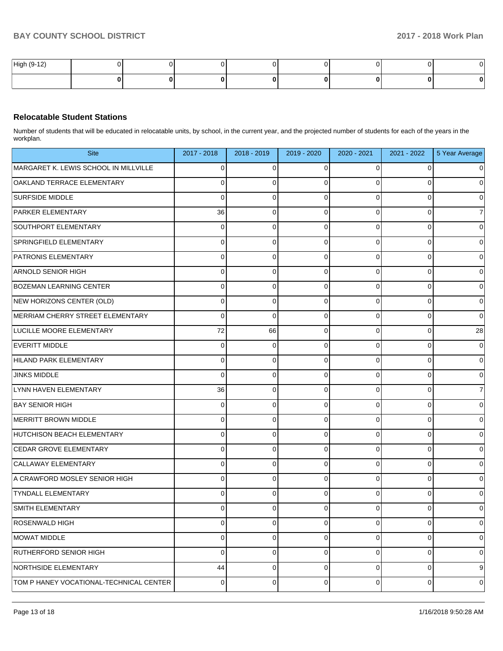| High (9-1<br>$\overline{A}$ |  |  |  |  |
|-----------------------------|--|--|--|--|
|                             |  |  |  |  |

# **Relocatable Student Stations**

Number of students that will be educated in relocatable units, by school, in the current year, and the projected number of students for each of the years in the workplan.

| <b>Site</b>                             | 2017 - 2018 | 2018 - 2019 | 2019 - 2020 | 2020 - 2021 | 2021 - 2022    | 5 Year Average      |
|-----------------------------------------|-------------|-------------|-------------|-------------|----------------|---------------------|
| MARGARET K. LEWIS SCHOOL IN MILLVILLE   | 0           | 0           | 0           | 0           | 0              | $\overline{0}$      |
| OAKLAND TERRACE ELEMENTARY              | 0           | 0           | $\Omega$    | 0           | 0              | $\mathbf 0$         |
| <b>SURFSIDE MIDDLE</b>                  | 0           | 0           | $\mathbf 0$ | 0           | 0              | $\overline{0}$      |
| <b>PARKER ELEMENTARY</b>                | 36          | 0           | $\mathbf 0$ | $\Omega$    | 0              | $\overline{7}$      |
| SOUTHPORT ELEMENTARY                    | 0           | 0           | $\mathbf 0$ | 0           | 0              | $\overline{0}$      |
| SPRINGFIELD ELEMENTARY                  | 0           | 0           | $\Omega$    | $\Omega$    | 0              | $\mathbf 0$         |
| <b>PATRONIS ELEMENTARY</b>              | 0           | 0           | $\mathbf 0$ | 0           | 0              | $\mathsf{O}\xspace$ |
| ARNOLD SENIOR HIGH                      | 0           | 0           | $\mathbf 0$ | 0           | 0              | $\mathbf 0$         |
| <b>BOZEMAN LEARNING CENTER</b>          | 0           | 0           | $\mathbf 0$ | 0           | $\pmb{0}$      | $\overline{0}$      |
| NEW HORIZONS CENTER (OLD)               | 0           | 0           | $\mathbf 0$ | $\Omega$    | 0              | $\mathsf{O}\xspace$ |
| MERRIAM CHERRY STREET ELEMENTARY        | 0           | 0           | $\mathbf 0$ | 0           | $\pmb{0}$      | $\mathsf{O}\xspace$ |
| LUCILLE MOORE ELEMENTARY                | 72          | 66          | $\mathbf 0$ | $\Omega$    | 0              | 28                  |
| EVERITT MIDDLE                          | 0           | $\mathbf 0$ | $\mathbf 0$ | 0           | $\mathbf 0$    | $\overline{0}$      |
| HILAND PARK ELEMENTARY                  | 0           | 0           | $\mathbf 0$ | 0           | 0              | $\mathbf 0$         |
| <b>JINKS MIDDLE</b>                     | 0           | 0           | $\mathbf 0$ | 0           | 0              | $\overline{0}$      |
| LYNN HAVEN ELEMENTARY                   | 36          | 0           | $\mathbf 0$ | $\Omega$    | 0              | $\overline{7}$      |
| <b>BAY SENIOR HIGH</b>                  | 0           | 0           | $\mathbf 0$ | 0           | $\pmb{0}$      | $\overline{0}$      |
| MERRITT BROWN MIDDLE                    | 0           | 0           | $\mathbf 0$ | $\Omega$    | 0              | $\pmb{0}$           |
| HUTCHISON BEACH ELEMENTARY              | 0           | 0           | $\mathbf 0$ | 0           | 0              | $\overline{0}$      |
| CEDAR GROVE ELEMENTARY                  | 0           | 0           | $\mathbf 0$ | $\Omega$    | 0              | $\mathsf{O}\xspace$ |
| CALLAWAY ELEMENTARY                     | 0           | 0           | $\mathbf 0$ | 0           | $\pmb{0}$      | $\overline{0}$      |
| A CRAWFORD MOSLEY SENIOR HIGH           | 0           | 0           | $\Omega$    | $\Omega$    | 0              | $\mathsf{O}\xspace$ |
| <b>TYNDALL ELEMENTARY</b>               | 0           | 0           | $\Omega$    | $\Omega$    | $\pmb{0}$      | $\overline{0}$      |
| SMITH ELEMENTARY                        | 0           | 0           | 0           | 0           | 0              | $\overline{0}$      |
| <b>ROSENWALD HIGH</b>                   | 0           | 0           | $\mathbf 0$ | 0           | 0              | $\overline{0}$      |
| MOWAT MIDDLE                            | 0           | 0           | $\mathbf 0$ | 0           | $\mathbf 0$    | $\overline{0}$      |
| <b>RUTHERFORD SENIOR HIGH</b>           | 0           | 0           | $\mathbf 0$ | 0           | 0              | $\overline{0}$      |
| NORTHSIDE ELEMENTARY                    | 44          | 0           | $\mathbf 0$ | $\mathbf 0$ | $\mathbf 0$    | 9                   |
| TOM P HANEY VOCATIONAL-TECHNICAL CENTER | 0           | 0           | $\mathbf 0$ | 0           | $\overline{0}$ | $\overline{0}$      |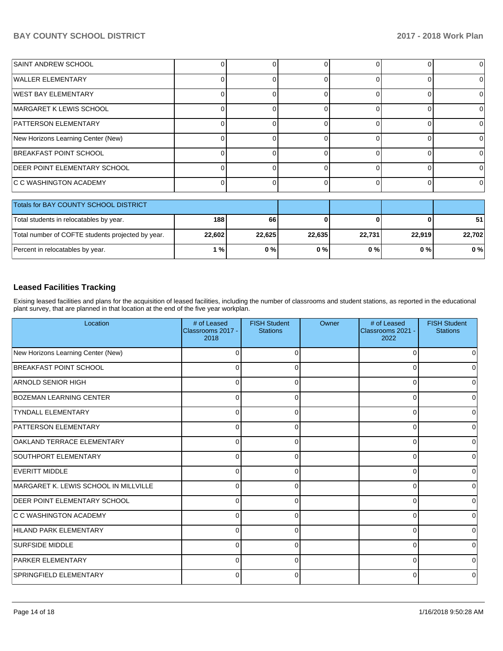| SAINT ANDREW SCHOOL                   |  |  |  | 01       |
|---------------------------------------|--|--|--|----------|
| <b>WALLER ELEMENTARY</b>              |  |  |  | 0        |
| <b>IWEST BAY ELEMENTARY</b>           |  |  |  | 01       |
| MARGARET K LEWIS SCHOOL               |  |  |  | 0        |
| <b>PATTERSON ELEMENTARY</b>           |  |  |  | 0        |
| New Horizons Learning Center (New)    |  |  |  | 0        |
| <b>IBREAKFAST POINT SCHOOL</b>        |  |  |  | $\Omega$ |
| <b>DEER POINT ELEMENTARY SCHOOL</b>   |  |  |  | $\Omega$ |
| C C WASHINGTON ACADEMY                |  |  |  | $\Omega$ |
| Totale for RAV COUNTY SCHOOL DISTRICT |  |  |  |          |

| Totals for BAY COUNTY SCHOOL DISTRICT             |        |        |        |        |        |        |
|---------------------------------------------------|--------|--------|--------|--------|--------|--------|
| Total students in relocatables by year.           | 188    | 66     |        |        | 01     | 51     |
| Total number of COFTE students projected by year. | 22,602 | 22.625 | 22.635 | 22,731 | 22.919 | 22.702 |
| Percent in relocatables by year.                  | %      | 0%     | 0%     | 0%     | 0 % I  | $0\%$  |

# **Leased Facilities Tracking**

Exising leased facilities and plans for the acquisition of leased facilities, including the number of classrooms and student stations, as reported in the educational plant survey, that are planned in that location at the end of the five year workplan.

| Location                              | # of Leased<br>Classrooms 2017 -<br>2018 | <b>FISH Student</b><br><b>Stations</b> | Owner | # of Leased<br>Classrooms 2021 -<br>2022 | <b>FISH Student</b><br><b>Stations</b> |
|---------------------------------------|------------------------------------------|----------------------------------------|-------|------------------------------------------|----------------------------------------|
| New Horizons Learning Center (New)    | 0                                        |                                        |       | C                                        |                                        |
| BREAKFAST POINT SCHOOL                | 0                                        | C                                      |       | C                                        | 0                                      |
| <b>ARNOLD SENIOR HIGH</b>             | 0                                        | C                                      |       | C                                        | 0                                      |
| BOZEMAN LEARNING CENTER               | 0                                        | 0                                      |       | 0                                        | 0                                      |
| <b>TYNDALL ELEMENTARY</b>             | 0                                        | O                                      |       | ∩                                        | 0                                      |
| <b>PATTERSON ELEMENTARY</b>           | $\Omega$                                 | O                                      |       | 0                                        | 0                                      |
| OAKLAND TERRACE ELEMENTARY            | $\Omega$                                 | $\Omega$                               |       | $\Omega$                                 | 0                                      |
| SOUTHPORT ELEMENTARY                  | $\Omega$                                 | ∩                                      |       | 0                                        | 0                                      |
| <b>EVERITT MIDDLE</b>                 | $\Omega$                                 |                                        |       | 0                                        | 0                                      |
| MARGARET K. LEWIS SCHOOL IN MILLVILLE | $\Omega$                                 |                                        |       | C                                        | 0                                      |
| <b>DEER POINT ELEMENTARY SCHOOL</b>   | $\Omega$                                 |                                        |       | 0                                        | 0                                      |
| <b>C C WASHINGTON ACADEMY</b>         | $\Omega$                                 | ∩                                      |       | ∩                                        | 0                                      |
| HILAND PARK ELEMENTARY                | $\Omega$                                 | 0                                      |       | 0                                        | 0                                      |
| <b>SURFSIDE MIDDLE</b>                | $\Omega$                                 | 0                                      |       | 0                                        | 0                                      |
| <b>PARKER ELEMENTARY</b>              | 0                                        | $\Omega$                               |       | $\Omega$                                 | $\Omega$                               |
| SPRINGFIELD ELEMENTARY                | 0                                        | 0                                      |       | 0                                        | 0                                      |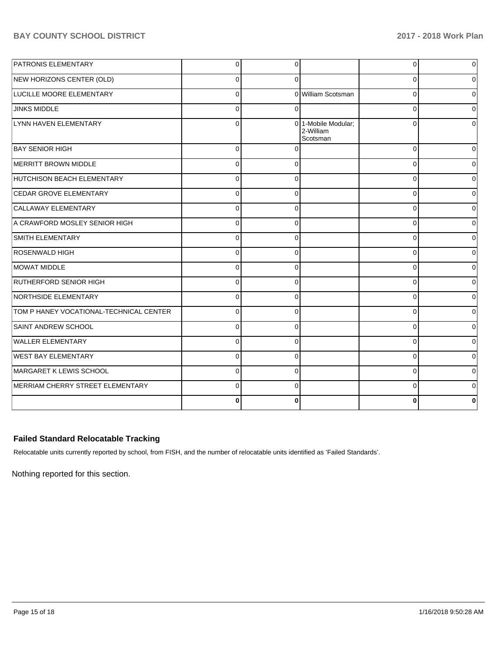| NEW HORIZONS CENTER (OLD)               | $\Omega$       | $\Omega$     |                                              |          |                |
|-----------------------------------------|----------------|--------------|----------------------------------------------|----------|----------------|
|                                         |                |              |                                              | 0        | 0              |
| LUCILLE MOORE ELEMENTARY                | $\Omega$       |              | 0 William Scotsman                           | 0        | 0              |
| <b>JINKS MIDDLE</b>                     | $\overline{0}$ | $\Omega$     |                                              | 0        | $\Omega$       |
| LYNN HAVEN ELEMENTARY                   | $\Omega$       |              | 0 1-Mobile Modular;<br>2-William<br>Scotsman | $\Omega$ | <sup>0</sup>   |
| <b>BAY SENIOR HIGH</b>                  | $\Omega$       | $\Omega$     |                                              | $\Omega$ | 0              |
| MERRITT BROWN MIDDLE                    | $\Omega$       | $\Omega$     |                                              | $\Omega$ | $\Omega$       |
| HUTCHISON BEACH ELEMENTARY              | $\overline{0}$ | <sup>0</sup> |                                              | 0        | 0              |
| <b>CEDAR GROVE ELEMENTARY</b>           | $\Omega$       | $\Omega$     |                                              | $\Omega$ | $\Omega$       |
| CALLAWAY ELEMENTARY                     | $\Omega$       | $\Omega$     |                                              | $\Omega$ | $\Omega$       |
| A CRAWFORD MOSLEY SENIOR HIGH           | $\Omega$       | $\Omega$     |                                              | $\Omega$ | $\Omega$       |
| <b>SMITH ELEMENTARY</b>                 | $\Omega$       | $\Omega$     |                                              | 0        | 0              |
| <b>ROSENWALD HIGH</b>                   | $\Omega$       | $\Omega$     |                                              | $\Omega$ | $\Omega$       |
| <b>MOWAT MIDDLE</b>                     | $\overline{0}$ | $\Omega$     |                                              | $\Omega$ | $\overline{0}$ |
| <b>RUTHERFORD SENIOR HIGH</b>           | $\Omega$       | $\Omega$     |                                              | C        | $\Omega$       |
| NORTHSIDE ELEMENTARY                    | $\overline{0}$ | $\Omega$     |                                              | $\Omega$ | $\overline{0}$ |
| TOM P HANEY VOCATIONAL-TECHNICAL CENTER | $\Omega$       | $\Omega$     |                                              | $\Omega$ | $\overline{0}$ |
| SAINT ANDREW SCHOOL                     | $\Omega$       | $\Omega$     |                                              | $\Omega$ | $\overline{0}$ |
| <b>WALLER ELEMENTARY</b>                | $\Omega$       | $\Omega$     |                                              | 0        | 0              |
| <b>WEST BAY ELEMENTARY</b>              | $\Omega$       | $\Omega$     |                                              | $\Omega$ | $\Omega$       |
| MARGARET K LEWIS SCHOOL                 | $\Omega$       | $\Omega$     |                                              | $\Omega$ | $\Omega$       |
| MERRIAM CHERRY STREET ELEMENTARY        | $\Omega$       | $\Omega$     |                                              | 0        | $\Omega$       |
|                                         | 0              | <sup>0</sup> |                                              | ŋ        | 0              |

# **Failed Standard Relocatable Tracking**

Relocatable units currently reported by school, from FISH, and the number of relocatable units identified as 'Failed Standards'.

Nothing reported for this section.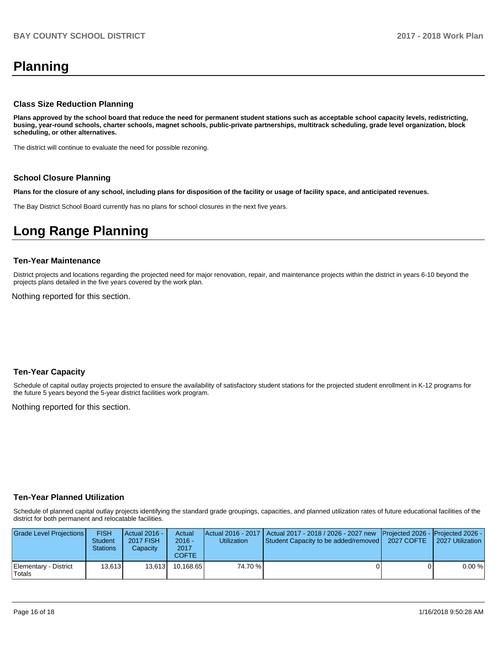# **Planning**

### **Class Size Reduction Planning**

**Plans approved by the school board that reduce the need for permanent student stations such as acceptable school capacity levels, redistricting, busing, year-round schools, charter schools, magnet schools, public-private partnerships, multitrack scheduling, grade level organization, block scheduling, or other alternatives.**

The district will continue to evaluate the need for possible rezoning.

#### **School Closure Planning**

**Plans for the closure of any school, including plans for disposition of the facility or usage of facility space, and anticipated revenues.** 

The Bay District School Board currently has no plans for school closures in the next five years.

# **Long Range Planning**

#### **Ten-Year Maintenance**

District projects and locations regarding the projected need for major renovation, repair, and maintenance projects within the district in years 6-10 beyond the projects plans detailed in the five years covered by the work plan.

Nothing reported for this section.

### **Ten-Year Capacity**

Schedule of capital outlay projects projected to ensure the availability of satisfactory student stations for the projected student enrollment in K-12 programs for the future 5 years beyond the 5-year district facilities work program.

Nothing reported for this section.

### **Ten-Year Planned Utilization**

Schedule of planned capital outlay projects identifying the standard grade groupings, capacities, and planned utilization rates of future educational facilities of the district for both permanent and relocatable facilities.

| Grade Level Projections         | <b>FISH</b><br><b>Student</b><br><b>Stations</b> | Actual 2016 -<br><b>2017 FISH</b><br>Capacity | Actual<br>$2016 -$<br>2017<br>COFTE | Utilization | Actual 2016 - 2017   Actual 2017 - 2018 / 2026 - 2027 new   Projected 2026 -   Projected 2026 -<br>Student Capacity to be added/removed   2027 COFTE | 2027 Utilization |
|---------------------------------|--------------------------------------------------|-----------------------------------------------|-------------------------------------|-------------|------------------------------------------------------------------------------------------------------------------------------------------------------|------------------|
| Elementary - District<br>Totals | 13.613                                           | 13.613                                        | 10.168.65                           | 74.70 %     |                                                                                                                                                      | 0.00%            |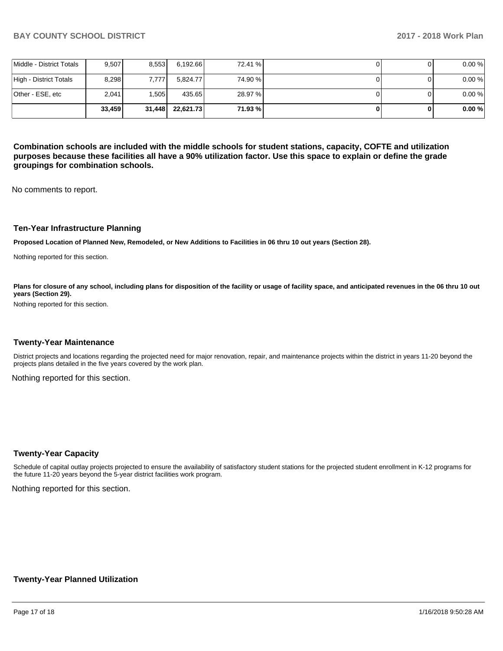|                          | 33.459 | 31,448 | 22,621.73 | 71.93 % |  | 0.00% |
|--------------------------|--------|--------|-----------|---------|--|-------|
| Other - ESE, etc         | 2.041  | .505   | 435.65    | 28.97 % |  | 0.00% |
| High - District Totals   | 8.298  | 7.777  | 5.824.77  | 74.90 % |  | 0.00% |
| Middle - District Totals | 9.507  | 8,553  | 6,192.66  | 72.41 % |  | 0.00% |

**Combination schools are included with the middle schools for student stations, capacity, COFTE and utilization purposes because these facilities all have a 90% utilization factor. Use this space to explain or define the grade groupings for combination schools.** 

No comments to report.

### **Ten-Year Infrastructure Planning**

**Proposed Location of Planned New, Remodeled, or New Additions to Facilities in 06 thru 10 out years (Section 28).**

Nothing reported for this section.

Plans for closure of any school, including plans for disposition of the facility or usage of facility space, and anticipated revenues in the 06 thru 10 out **years (Section 29).**

Nothing reported for this section.

### **Twenty-Year Maintenance**

District projects and locations regarding the projected need for major renovation, repair, and maintenance projects within the district in years 11-20 beyond the projects plans detailed in the five years covered by the work plan.

Nothing reported for this section.

### **Twenty-Year Capacity**

Schedule of capital outlay projects projected to ensure the availability of satisfactory student stations for the projected student enrollment in K-12 programs for the future 11-20 years beyond the 5-year district facilities work program.

Nothing reported for this section.

### **Twenty-Year Planned Utilization**